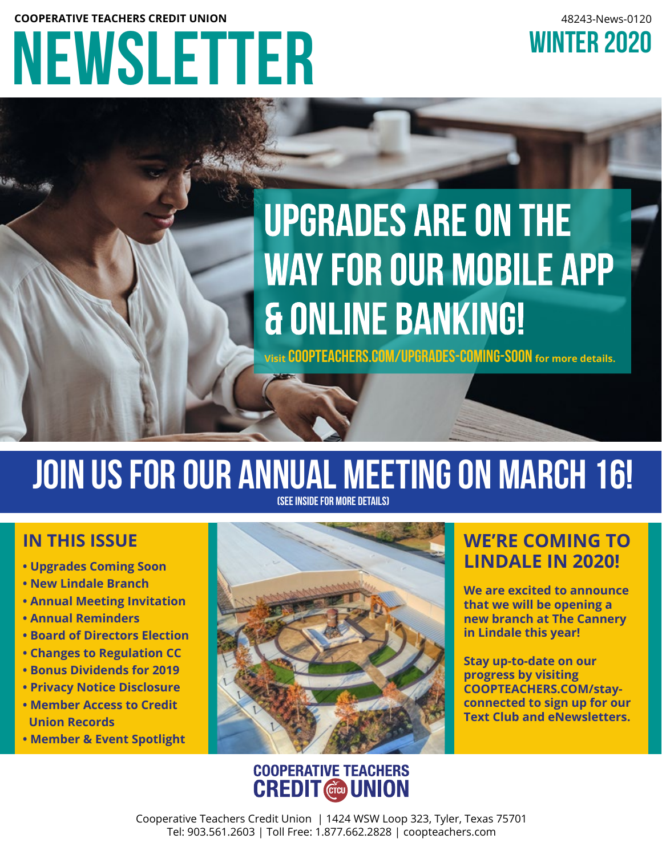**COOPERATIVE TEACHERS CREDIT UNION** 48243-News-0120

## NEWSLETTER WINTER 2020

## **UPGRADES ARE ON THE WAY FOR OUR MOBILE APP & ONLINE BANKING!**

**Visit COOPTEACHERS.COM/UPGRADES-COMING-SOON for more details.**

#### JOIN US FOR OUR ANNUAL MEETING ON MARCH 16! (See inside for more details)

#### **IN THIS ISSUE**

- **Upgrades Coming Soon**
- **New Lindale Branch**
- **Annual Meeting Invitation**
- **Annual Reminders**
- **Board of Directors Election**
- **Changes to Regulation CC**
- **Bonus Dividends for 2019**
- **Privacy Notice Disclosure**
- **Member Access to Credit Union Records**
- **Member & Event Spotlight**



#### **WE'RE COMING TO LINDALE IN 2020!**

**We are excited to announce that we will be opening a new branch at The Cannery in Lindale this year!** 

**Stay up-to-date on our progress by visiting COOPTEACHERS.COM/stayconnected to sign up for our Text Club and eNewsletters.**

#### **COOPERATIVE TEACHERS CREDIT CO UNION**

Cooperative Teachers Credit Union | 1424 WSW Loop 323, Tyler, Texas 75701 Tel: 903.561.2603 | Toll Free: 1.877.662.2828 | coopteachers.com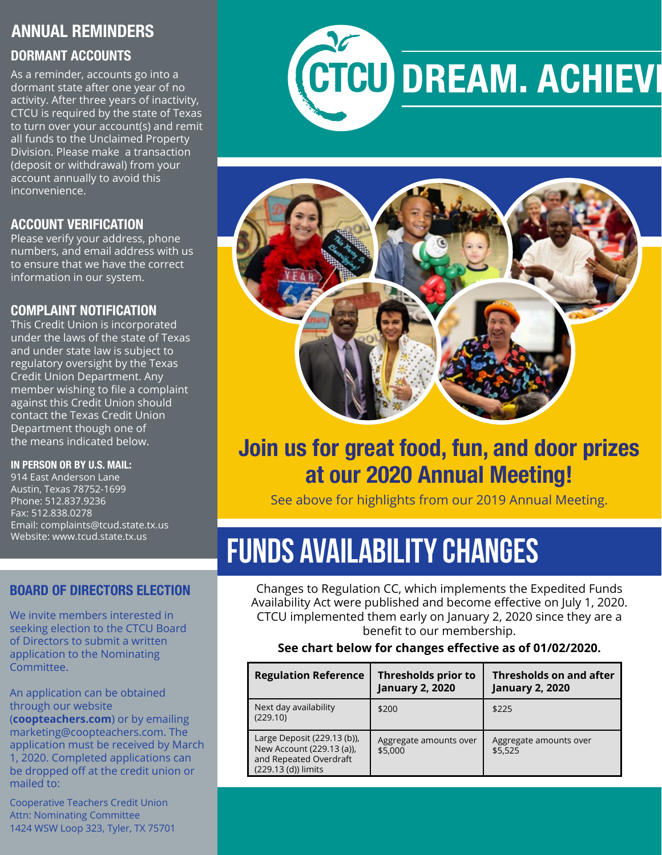#### **ANNUAL REMINDERS**

#### **DORMANT ACCOUNTS**

As a reminder, accounts go into a dormant state after one year of no activity. After three years of inactivity, CTCU is required by the state of Texas to turn over your account(s) and remit all funds to the Unclaimed Property Division. Please make a transaction (deposit or withdrawal) from your account annually to avoid this inconvenience.

#### **ACCOUNT VERIFICATION**

Please verify your address, phone numbers, and email address with us to ensure that we have the correct information in our system.

#### **COMPLAINT NOTIFICATION**

This Credit Union is incorporated under the laws of the state of Texas and under state law is subject to regulatory oversight by the Texas Credit Union Department. Any member wishing to file a complaint against this Credit Union should contact the Texas Credit Union Department though one of the means indicated below.

#### **IN PERSON OR BY U.S. MAIL:**

914 East Anderson Lane Austin, Texas 78752-1699 Phone: 512.837.9236 Fax: 512.838.0278 Email: complaints@tcud.state.tx.us Website: www.tcud.state.tx.us

# CTCU DREAM. ACHIEVI



#### **Join us for great food, fun, and door prizes at our 2020 Annual Meeting!**

See above for highlights from our 2019 Annual Meeting.

### funds availability changes

#### **BOARD OF DIRECTORS ELECTION**

We invite members interested in seeking election to the CTCU Board of Directors to submit a written application to the Nominating Committee.

An application can be obtained through our website (**coopteachers.com**) or by emailing marketing@coopteachers.com. The application must be received by March 1, 2020. Completed applications can be dropped off at the credit union or mailed to:

Cooperative Teachers Credit Union Attn: Nominating Committee 1424 WSW Loop 323, Tyler, TX 75701

Changes to Regulation CC, which implements the Expedited Funds Availability Act were published and become effective on July 1, 2020. CTCU implemented them early on January 2, 2020 since they are a benefit to our membership.

#### **See chart below for changes effective as of 01/02/2020.**

| <b>Regulation Reference</b>                                                                               | <b>Thresholds prior to</b><br><b>January 2, 2020</b> | Thresholds on and after<br><b>January 2, 2020</b> |
|-----------------------------------------------------------------------------------------------------------|------------------------------------------------------|---------------------------------------------------|
| Next day availability<br>(229.10)                                                                         | \$200                                                | \$225                                             |
| Large Deposit (229.13 (b)),<br>New Account (229.13 (a)),<br>and Repeated Overdraft<br>(229.13 (d)) limits | Aggregate amounts over<br>\$5,000                    | Aggregate amounts over<br>\$5,525                 |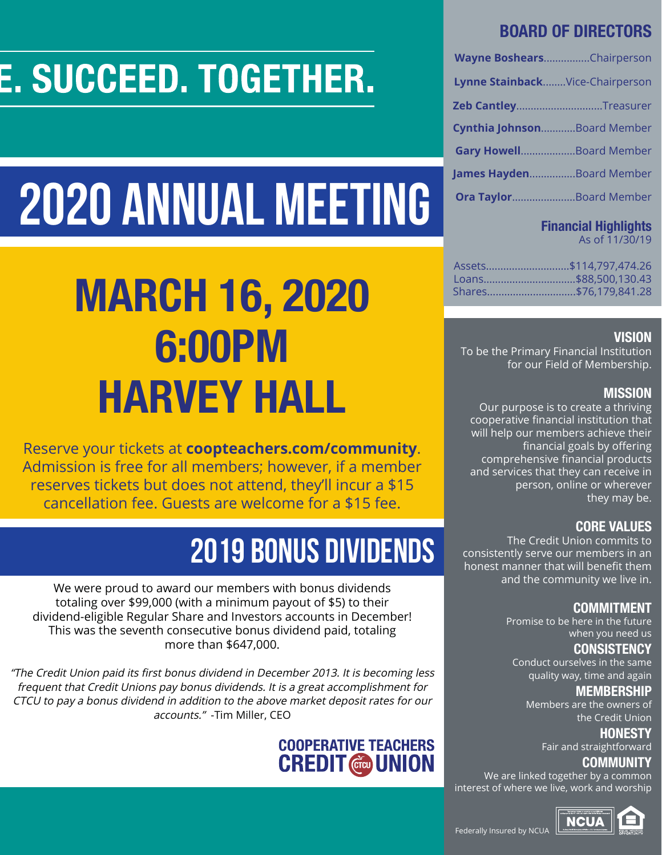## E. SUCCEED. TOGETHER.

## 2020 ANNUAL MEETING

## **MARCH 16, 2020 6:00PM HARVEY HALL**

Reserve your tickets at **coopteachers.com/community**. Admission is free for all members; however, if a member reserves tickets but does not attend, they'll incur a \$15 cancellation fee. Guests are welcome for a \$15 fee.

### 2019 bonus dividends

We were proud to award our members with bonus dividends totaling over \$99,000 (with a minimum payout of \$5) to their dividend-eligible Regular Share and Investors accounts in December! This was the seventh consecutive bonus dividend paid, totaling more than \$647,000.

"The Credit Union paid its first bonus dividend in December 2013. It is becoming less frequent that Credit Unions pay bonus dividends. It is a great accomplishment for CTCU to pay a bonus dividend in addition to the above market deposit rates for our accounts." -Tim Miller, CEO

#### **COOPERATIVE TEACHERS CREDIT @ UNION**

#### **BOARD OF DIRECTORS**

| Wayne BoshearsChairperson       |  |
|---------------------------------|--|
| Lynne StainbackVice-Chairperson |  |
| Zeb CantleyTreasurer            |  |
| Cynthia JohnsonBoard Member     |  |
| <b>Gary HowellBoard Member</b>  |  |
| James HaydenBoard Member        |  |
| Ora TaylorBoard Member          |  |

#### **Financial Highlights** As of 11/30/19

Assets.............................\$114,797,474.26 Loans................................\$88,500,130.43 Shares...............................\$76,179,841.28

#### **VISION**

To be the Primary Financial Institution for our Field of Membership.

#### **MISSION**

Our purpose is to create a thriving cooperative financial institution that will help our members achieve their financial goals by offering comprehensive financial products and services that they can receive in person, online or wherever they may be.

#### **CORE VALUES**

The Credit Union commits to consistently serve our members in an honest manner that will benefit them and the community we live in.

#### **COMMITMENT**

Promise to be here in the future when you need us

#### **CONSISTENCY**

Conduct ourselves in the same quality way, time and again

#### **MEMBERSHIP**

Members are the owners of the Credit Union

> **HONESTY** Fair and straightforward

**COMMUNITY** 

We are linked together by a common interest of where we live, work and worship